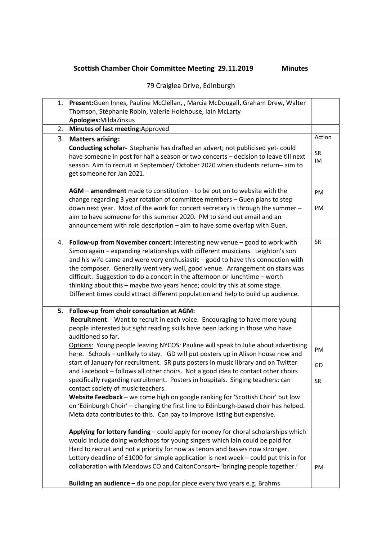## **Scottish Chamber Choir Committee Meeting 29.11.2019 Minutes**

## 79 Craiglea Drive, Edinburgh

| 1. | Present: Guen Innes, Pauline McClellan, , Marcia McDougall, Graham Drew, Walter                                                                                                                                                                                                                                                                                                                                                                                                                                                                                                     |           |
|----|-------------------------------------------------------------------------------------------------------------------------------------------------------------------------------------------------------------------------------------------------------------------------------------------------------------------------------------------------------------------------------------------------------------------------------------------------------------------------------------------------------------------------------------------------------------------------------------|-----------|
|    | Thomson, Stéphanie Robin, Valerie Holehouse, Iain McLarty<br>Apologies: MildaZinkus                                                                                                                                                                                                                                                                                                                                                                                                                                                                                                 |           |
| 2. | Minutes of last meeting: Approved                                                                                                                                                                                                                                                                                                                                                                                                                                                                                                                                                   |           |
|    |                                                                                                                                                                                                                                                                                                                                                                                                                                                                                                                                                                                     | Action    |
|    | 3. Matters arising:<br>Conducting scholar- Stephanie has drafted an advert; not publicised yet-could<br>have someone in post for half a season or two concerts - decision to leave till next<br>season. Aim to recruit in September/ October 2020 when students return-aim to<br>get someone for Jan 2021.                                                                                                                                                                                                                                                                          | SR<br>IM  |
|    | $AGM$ – amendment made to constitution – to be put on to website with the<br>change regarding 3 year rotation of committee members - Guen plans to step<br>down next year. Most of the work for concert secretary is through the summer -<br>aim to have someone for this summer 2020. PM to send out email and an                                                                                                                                                                                                                                                                  | PM<br>PM  |
|    | announcement with role description - aim to have some overlap with Guen.                                                                                                                                                                                                                                                                                                                                                                                                                                                                                                            |           |
| 4. | Follow-up from November concert: interesting new venue - good to work with<br>Simon again - expanding relationships with different musicians. Leighton's son<br>and his wife came and were very enthusiastic - good to have this connection with<br>the composer. Generally went very well, good venue. Arrangement on stairs was<br>difficult. Suggestion to do a concert in the afternoon or lunchtime - worth<br>thinking about this - maybe two years hence; could try this at some stage.<br>Different times could attract different population and help to build up audience. | <b>SR</b> |
| 5. | Follow-up from choir consultation at AGM:                                                                                                                                                                                                                                                                                                                                                                                                                                                                                                                                           |           |
|    | Recruitment: - Want to recruit in each voice. Encouraging to have more young<br>people interested but sight reading skills have been lacking in those who have<br>auditioned so far.                                                                                                                                                                                                                                                                                                                                                                                                |           |
|    | Options: Young people leaving NYCOS: Pauline will speak to Julie about advertising<br>here. Schools - unlikely to stay. GD will put posters up in Alison house now and                                                                                                                                                                                                                                                                                                                                                                                                              | PM        |
|    | start of January for recruitment. SR puts posters in music library and on Twitter<br>and Facebook - follows all other choirs. Not a good idea to contact other choirs                                                                                                                                                                                                                                                                                                                                                                                                               | GD        |
|    | specifically regarding recruitment. Posters in hospitals. Singing teachers: can<br>contact society of music teachers.<br>Website Feedback - we come high on google ranking for 'Scottish Choir' but low<br>on 'Edinburgh Choir' - changing the first line to Edinburgh-based choir has helped.<br>Meta data contributes to this. Can pay to improve listing but expensive.                                                                                                                                                                                                          | SR        |
|    | Applying for lottery funding - could apply for money for choral scholarships which<br>would include doing workshops for young singers which lain could be paid for.<br>Hard to recruit and not a priority for now as tenors and basses now stronger.<br>Lottery deadline of £1000 for simple application is next week - could put this in for<br>collaboration with Meadows CO and CaltonConsort-'bringing people together.'                                                                                                                                                        | PM        |
|    | Building an audience - do one popular piece every two years e.g. Brahms                                                                                                                                                                                                                                                                                                                                                                                                                                                                                                             |           |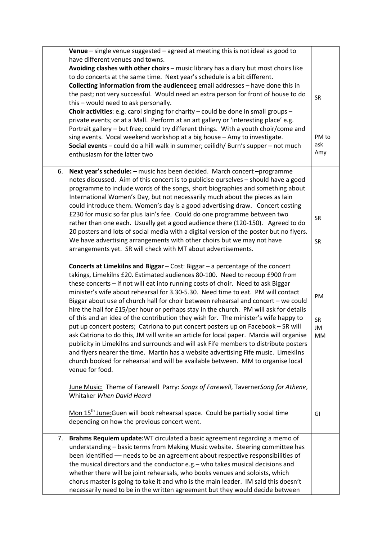|    | Venue $-$ single venue suggested $-$ agreed at meeting this is not ideal as good to<br>have different venues and towns.<br>Avoiding clashes with other choirs - music library has a diary but most choirs like<br>to do concerts at the same time. Next year's schedule is a bit different.<br>Collecting information from the audienceeg email addresses - have done this in<br>the past; not very successful. Would need an extra person for front of house to do<br>this - would need to ask personally.<br>Choir activities: e.g. carol singing for charity - could be done in small groups -<br>private events; or at a Mall. Perform at an art gallery or 'interesting place' e.g.<br>Portrait gallery - but free; could try different things. With a youth choir/come and<br>sing events. Vocal weekend workshop at a big house - Amy to investigate.<br>Social events - could do a hill walk in summer; ceilidh/ Burn's supper - not much<br>enthusiasm for the latter two                                                                                             | SR<br>PM to<br>ask<br>Amy |
|----|--------------------------------------------------------------------------------------------------------------------------------------------------------------------------------------------------------------------------------------------------------------------------------------------------------------------------------------------------------------------------------------------------------------------------------------------------------------------------------------------------------------------------------------------------------------------------------------------------------------------------------------------------------------------------------------------------------------------------------------------------------------------------------------------------------------------------------------------------------------------------------------------------------------------------------------------------------------------------------------------------------------------------------------------------------------------------------|---------------------------|
| 6. | Next year's schedule: - music has been decided. March concert - programme<br>notes discussed. Aim of this concert is to publicise ourselves - should have a good<br>programme to include words of the songs, short biographies and something about<br>International Women's Day, but not necessarily much about the pieces as lain<br>could introduce them. Women's day is a good advertising draw. Concert costing<br>£230 for music so far plus Iain's fee. Could do one programme between two<br>rather than one each. Usually get a good audience there (120-150). Agreed to do<br>20 posters and lots of social media with a digital version of the poster but no flyers.<br>We have advertising arrangements with other choirs but we may not have<br>arrangements yet. SR will check with MT about advertisements.                                                                                                                                                                                                                                                      | SR<br>SR                  |
|    | Concerts at Limekilns and Biggar - Cost: Biggar - a percentage of the concert<br>takings, Limekilns £20. Estimated audiences 80-100. Need to recoup £900 from<br>these concerts - if not will eat into running costs of choir. Need to ask Biggar<br>minister's wife about rehearsal for 3.30-5.30. Need time to eat. PM will contact<br>Biggar about use of church hall for choir between rehearsal and concert - we could<br>hire the hall for £15/per hour or perhaps stay in the church. PM will ask for details<br>of this and an idea of the contribution they wish for. The minister's wife happy to<br>put up concert posters; Catriona to put concert posters up on Facebook - SR will<br>ask Catriona to do this, JM will write an article for local paper. Marcia will organise<br>publicity in Limekilns and surrounds and will ask Fife members to distribute posters<br>and flyers nearer the time. Martin has a website advertising Fife music. Limekilns<br>church booked for rehearsal and will be available between. MM to organise local<br>venue for food. | PM<br>SR.<br>JM<br>MM     |
|    | June Music: Theme of Farewell Parry: Songs of Farewell, TavernerSong for Athene,<br>Whitaker When David Heard<br>Mon 15 <sup>th</sup> June: Guen will book rehearsal space. Could be partially social time<br>depending on how the previous concert went.                                                                                                                                                                                                                                                                                                                                                                                                                                                                                                                                                                                                                                                                                                                                                                                                                      | GI                        |
| 7. | Brahms Requiem update: WT circulated a basic agreement regarding a memo of<br>understanding - basic terms from Making Music website. Steering committee has<br>been identified - needs to be an agreement about respective responsibilities of<br>the musical directors and the conductor e.g. - who takes musical decisions and<br>whether there will be joint rehearsals, who books venues and soloists, which<br>chorus master is going to take it and who is the main leader. IM said this doesn't<br>necessarily need to be in the written agreement but they would decide between                                                                                                                                                                                                                                                                                                                                                                                                                                                                                        |                           |